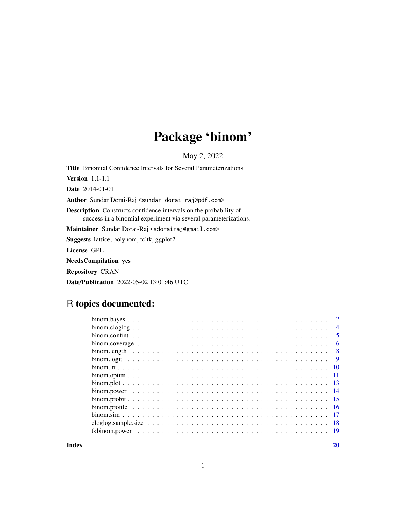# Package 'binom'

May 2, 2022

<span id="page-0-0"></span>Title Binomial Confidence Intervals for Several Parameterizations Version 1.1-1.1 Date 2014-01-01 Author Sundar Dorai-Raj <sundar.dorai-raj@pdf.com> Description Constructs confidence intervals on the probability of success in a binomial experiment via several parameterizations. Maintainer Sundar Dorai-Raj <sdorairaj@gmail.com> Suggests lattice, polynom, tcltk, ggplot2 License GPL NeedsCompilation yes Repository CRAN Date/Publication 2022-05-02 13:01:46 UTC

# R topics documented:

|  |  |  |  |  |  |  |  |  |  |  |  |  |  |  |  |  |  | $\overline{2}$ |
|--|--|--|--|--|--|--|--|--|--|--|--|--|--|--|--|--|--|----------------|
|  |  |  |  |  |  |  |  |  |  |  |  |  |  |  |  |  |  | $\overline{4}$ |
|  |  |  |  |  |  |  |  |  |  |  |  |  |  |  |  |  |  | -5             |
|  |  |  |  |  |  |  |  |  |  |  |  |  |  |  |  |  |  | - 6            |
|  |  |  |  |  |  |  |  |  |  |  |  |  |  |  |  |  |  | -8             |
|  |  |  |  |  |  |  |  |  |  |  |  |  |  |  |  |  |  | $\overline{9}$ |
|  |  |  |  |  |  |  |  |  |  |  |  |  |  |  |  |  |  |                |
|  |  |  |  |  |  |  |  |  |  |  |  |  |  |  |  |  |  |                |
|  |  |  |  |  |  |  |  |  |  |  |  |  |  |  |  |  |  |                |
|  |  |  |  |  |  |  |  |  |  |  |  |  |  |  |  |  |  |                |
|  |  |  |  |  |  |  |  |  |  |  |  |  |  |  |  |  |  |                |
|  |  |  |  |  |  |  |  |  |  |  |  |  |  |  |  |  |  |                |
|  |  |  |  |  |  |  |  |  |  |  |  |  |  |  |  |  |  |                |
|  |  |  |  |  |  |  |  |  |  |  |  |  |  |  |  |  |  |                |
|  |  |  |  |  |  |  |  |  |  |  |  |  |  |  |  |  |  | - 19           |
|  |  |  |  |  |  |  |  |  |  |  |  |  |  |  |  |  |  |                |

 $\bf 1$ ndex  $\bf 20$  $\bf 20$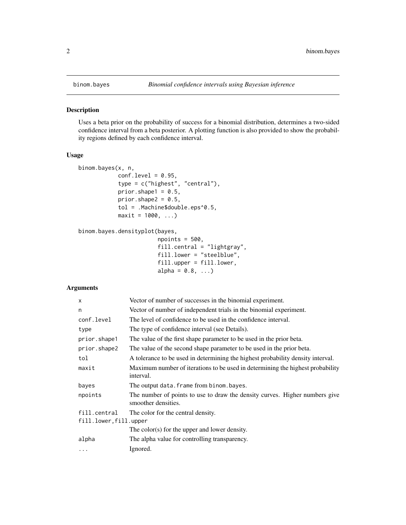<span id="page-1-1"></span><span id="page-1-0"></span>

Uses a beta prior on the probability of success for a binomial distribution, determines a two-sided confidence interval from a beta posterior. A plotting function is also provided to show the probability regions defined by each confidence interval.

#### Usage

```
binom.bayes(x, n,
            conf.level = 0.95,
            type = c("highest", "central"),
            prior.shape1 = 0.5,
            prior.shape2 = 0.5,
            tol = .Machine$double.eps^0.5,
            maxit = 1000, ...
```

```
binom.bayes.densityplot(bayes,
```

```
npoints = 500,
fill.central = "lightgray",
fill.lower = "steelblue",
fill.upper = fill.lower,
alpha = 0.8, ...)
```
# Arguments

| $\mathsf{x}$          | Vector of number of successes in the binomial experiment.                                          |  |  |  |  |
|-----------------------|----------------------------------------------------------------------------------------------------|--|--|--|--|
| n                     | Vector of number of independent trials in the binomial experiment.                                 |  |  |  |  |
| conf.level            | The level of confidence to be used in the confidence interval.                                     |  |  |  |  |
| type                  | The type of confidence interval (see Details).                                                     |  |  |  |  |
| prior.shape1          | The value of the first shape parameter to be used in the prior beta.                               |  |  |  |  |
| prior.shape2          | The value of the second shape parameter to be used in the prior beta.                              |  |  |  |  |
| tol                   | A tolerance to be used in determining the highest probability density interval.                    |  |  |  |  |
| maxit                 | Maximum number of iterations to be used in determining the highest probability<br>interval.        |  |  |  |  |
| bayes                 | The output data. frame from binom. bayes.                                                          |  |  |  |  |
| npoints               | The number of points to use to draw the density curves. Higher numbers give<br>smoother densities. |  |  |  |  |
| fill.central          | The color for the central density.                                                                 |  |  |  |  |
| fill.lower,fill.upper |                                                                                                    |  |  |  |  |
|                       | The color $(s)$ for the upper and lower density.                                                   |  |  |  |  |
| alpha                 | The alpha value for controlling transparency.                                                      |  |  |  |  |
| $\ddotsc$             | Ignored.                                                                                           |  |  |  |  |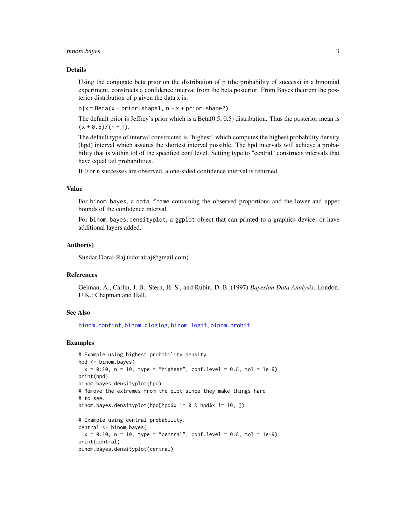#### <span id="page-2-0"></span>binom.bayes 3

#### Details

Using the conjugate beta prior on the distribution of p (the probability of success) in a binomial experiment, constructs a confidence interval from the beta posterior. From Bayes theorem the posterior distribution of p given the data x is:

 $p|x \sim Beta(x + prior.shape1, n - x + prior.shape2)$ 

The default prior is Jeffrey's prior which is a Beta(0.5, 0.5) distribution. Thus the posterior mean is  $(x + 0.5)/(n + 1)$ .

The default type of interval constructed is "highest" which computes the highest probability density (hpd) interval which assures the shortest interval possible. The hpd intervals will achieve a probability that is within tol of the specified conf.level. Setting type to "central" constructs intervals that have equal tail probabilities.

If 0 or n successes are observed, a one-sided confidence interval is returned.

#### Value

For binom.bayes, a data.frame containing the observed proportions and the lower and upper bounds of the confidence interval.

For binom.bayes.densityplot, a ggplot object that can printed to a graphics device, or have additional layers added.

#### Author(s)

Sundar Dorai-Raj (sdorairaj@gmail.com)

#### References

Gelman, A., Carlin, J. B., Stern, H. S., and Rubin, D. B. (1997) *Bayesian Data Analysis*, London, U.K.: Chapman and Hall.

# See Also

[binom.confint](#page-4-1), [binom.cloglog](#page-3-1), [binom.logit](#page-8-1), [binom.probit](#page-14-1)

#### Examples

```
# Example using highest probability density.
hpd <- binom.bayes(
  x = 0:10, n = 10, type = "highest", conf.level = 0.8, tol = 1e-9)
print(hpd)
binom.bayes.densityplot(hpd)
# Remove the extremes from the plot since they make things hard
# to see.
binom.bayes.densityplot(hpd[hpd$x != 0 & hpd$x != 10, ])
# Example using central probability.
central <- binom.bayes(
  x = 0:10, n = 10, type = "central", conf.level = 0.8, tol = 1e-9)
print(central)
binom.bayes.densityplot(central)
```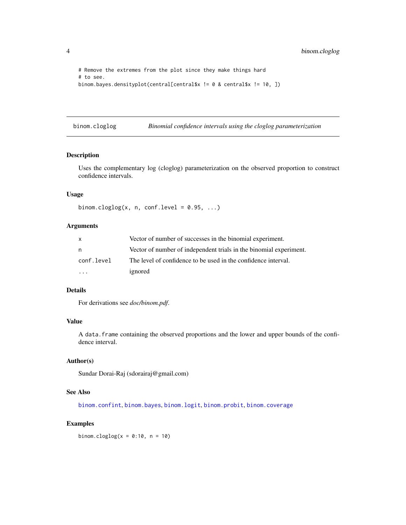```
# Remove the extremes from the plot since they make things hard
# to see.
binom.bayes.densityplot(central[central$x != 0 & central$x != 10, ])
```
<span id="page-3-1"></span>binom.cloglog *Binomial confidence intervals using the cloglog parameterization*

#### Description

Uses the complementary log (cloglog) parameterization on the observed proportion to construct confidence intervals.

# Usage

```
binom.cloglog(x, n, conf.level = 0.95, ...)
```
# Arguments

| X          | Vector of number of successes in the binomial experiment.          |
|------------|--------------------------------------------------------------------|
| n          | Vector of number of independent trials in the binomial experiment. |
| conf.level | The level of confidence to be used in the confidence interval.     |
|            | ignored                                                            |

#### Details

For derivations see *doc/binom.pdf*.

# Value

A data.frame containing the observed proportions and the lower and upper bounds of the confidence interval.

# Author(s)

Sundar Dorai-Raj (sdorairaj@gmail.com)

# See Also

[binom.confint](#page-4-1), [binom.bayes](#page-1-1), [binom.logit](#page-8-1), [binom.probit](#page-14-1), [binom.coverage](#page-5-1)

# Examples

binom.cloglog( $x = 0:10$ ,  $n = 10$ )

<span id="page-3-0"></span>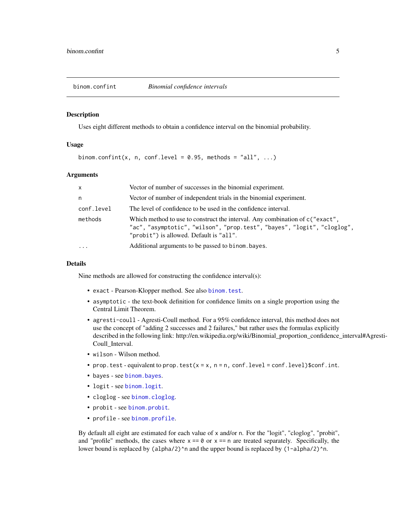<span id="page-4-1"></span><span id="page-4-0"></span>

Uses eight different methods to obtain a confidence interval on the binomial probability.

# Usage

```
binom.confint(x, n, conf.level = 0.95, methods = "all", ...)
```
#### Arguments

| $\mathsf{x}$ | Vector of number of successes in the binomial experiment.                                                                                                                                             |
|--------------|-------------------------------------------------------------------------------------------------------------------------------------------------------------------------------------------------------|
| n.           | Vector of number of independent trials in the binomial experiment.                                                                                                                                    |
| conf.level   | The level of confidence to be used in the confidence interval.                                                                                                                                        |
| methods      | Which method to use to construct the interval. Any combination of $c$ ("exact",<br>"ac", "asymptotic", "wilson", "prop.test", "bayes", "logit", "cloglog",<br>"probit") is allowed. Default is "all". |
| $\cdots$     | Additional arguments to be passed to binom. bayes.                                                                                                                                                    |

#### Details

Nine methods are allowed for constructing the confidence interval(s):

- exact Pearson-Klopper method. See also [binom.test](#page-0-0).
- asymptotic the text-book definition for confidence limits on a single proportion using the Central Limit Theorem.
- agresti-coull Agresti-Coull method. For a 95% confidence interval, this method does not use the concept of "adding 2 successes and 2 failures," but rather uses the formulas explicitly described in the following link: http://en.wikipedia.org/wiki/Binomial\_proportion\_confidence\_interval#Agresti-Coull\_Interval.
- wilson Wilson method.
- prop.test equivalent to prop.test( $x = x$ ,  $n = n$ , conf.level = conf.level)\$conf.int.
- bayes see [binom.bayes](#page-1-1).
- logit see [binom.logit](#page-8-1).
- cloglog see [binom.cloglog](#page-3-1).
- probit see [binom.probit](#page-14-1).
- profile see [binom.profile](#page-15-1).

By default all eight are estimated for each value of x and/or n. For the "logit", "cloglog", "probit", and "profile" methods, the cases where  $x == 0$  or  $x == n$  are treated separately. Specifically, the lower bound is replaced by (alpha/2)<sup>^</sup>n and the upper bound is replaced by (1-alpha/2)<sup>^</sup>n.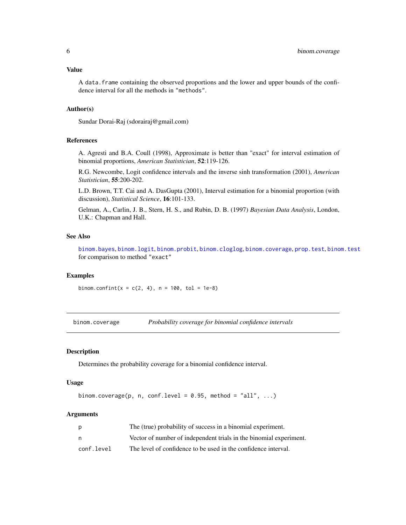# <span id="page-5-0"></span>Value

A data.frame containing the observed proportions and the lower and upper bounds of the confidence interval for all the methods in "methods".

# Author(s)

Sundar Dorai-Raj (sdorairaj@gmail.com)

#### References

A. Agresti and B.A. Coull (1998), Approximate is better than "exact" for interval estimation of binomial proportions, *American Statistician*, 52:119-126.

R.G. Newcombe, Logit confidence intervals and the inverse sinh transformation (2001), *American Statistician*, 55:200-202.

L.D. Brown, T.T. Cai and A. DasGupta (2001), Interval estimation for a binomial proportion (with discussion), *Statistical Science*, 16:101-133.

Gelman, A., Carlin, J. B., Stern, H. S., and Rubin, D. B. (1997) *Bayesian Data Analysis*, London, U.K.: Chapman and Hall.

# See Also

[binom.bayes](#page-1-1), [binom.logit](#page-8-1), [binom.probit](#page-14-1), [binom.cloglog](#page-3-1), [binom.coverage](#page-5-1), [prop.test](#page-0-0), [binom.test](#page-0-0) for comparison to method "exact"

#### Examples

binom.confint(x =  $c(2, 4)$ , n = 100, tol = 1e-8)

<span id="page-5-1"></span>binom.coverage *Probability coverage for binomial confidence intervals*

#### Description

Determines the probability coverage for a binomial confidence interval.

# Usage

```
binom.coverage(p, n, conf.level = 0.95, method = "all", ...)
```
#### Arguments

| p          | The (true) probability of success in a binomial experiment.        |
|------------|--------------------------------------------------------------------|
| n          | Vector of number of independent trials in the binomial experiment. |
| conf.level | The level of confidence to be used in the confidence interval.     |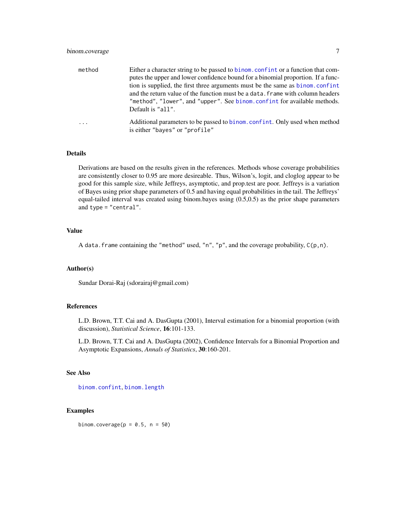# <span id="page-6-0"></span>binom.coverage 7

| method  | Either a character string to be passed to binom, confint or a function that com- |
|---------|----------------------------------------------------------------------------------|
|         | putes the upper and lower confidence bound for a binomial proportion. If a func- |
|         | tion is supplied, the first three arguments must be the same as binom.confint    |
|         | and the return value of the function must be a data. Frame with column headers   |
|         | "method", "lower", and "upper". See binom.confint for available methods.         |
|         | Default is "all".                                                                |
| $\cdot$ | Additional parameters to be passed to binom.confint. Only used when method       |
|         | is either "bayes" or "profile"                                                   |

#### Details

Derivations are based on the results given in the references. Methods whose coverage probabilities are consistently closer to 0.95 are more desireable. Thus, Wilson's, logit, and cloglog appear to be good for this sample size, while Jeffreys, asymptotic, and prop.test are poor. Jeffreys is a variation of Bayes using prior shape parameters of 0.5 and having equal probabilities in the tail. The Jeffreys' equal-tailed interval was created using binom.bayes using (0.5,0.5) as the prior shape parameters and type = "central".

#### Value

A data. frame containing the "method" used, "n", "p", and the coverage probability,  $C(p, n)$ .

#### Author(s)

Sundar Dorai-Raj (sdorairaj@gmail.com)

# References

L.D. Brown, T.T. Cai and A. DasGupta (2001), Interval estimation for a binomial proportion (with discussion), *Statistical Science*, 16:101-133.

L.D. Brown, T.T. Cai and A. DasGupta (2002), Confidence Intervals for a Binomial Proportion and Asymptotic Expansions, *Annals of Statistics*, 30:160-201.

#### See Also

[binom.confint](#page-4-1), [binom.length](#page-7-1)

### Examples

binom.coverage( $p = 0.5$ ,  $n = 50$ )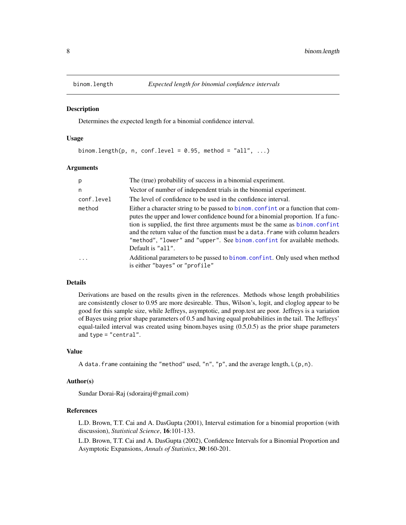<span id="page-7-1"></span><span id="page-7-0"></span>

Determines the expected length for a binomial confidence interval.

#### Usage

```
binom.length(p, n, conf.level = 0.95, method = "all", ...)
```
#### Arguments

| p          | The (true) probability of success in a binomial experiment.                                                                                                                                                                                                                                                                                                                                                                             |
|------------|-----------------------------------------------------------------------------------------------------------------------------------------------------------------------------------------------------------------------------------------------------------------------------------------------------------------------------------------------------------------------------------------------------------------------------------------|
| n          | Vector of number of independent trials in the binomial experiment.                                                                                                                                                                                                                                                                                                                                                                      |
| conf.level | The level of confidence to be used in the confidence interval.                                                                                                                                                                                                                                                                                                                                                                          |
| method     | Either a character string to be passed to binom. confint or a function that com-<br>putes the upper and lower confidence bound for a binomial proportion. If a func-<br>tion is supplied, the first three arguments must be the same as binom.confint<br>and the return value of the function must be a data. Frame with column headers<br>"method", "lower" and "upper". See binom.confint for available methods.<br>Default is "all". |
| $\cdot$    | Additional parameters to be passed to binom. confint. Only used when method<br>is either "bayes" or "profile"                                                                                                                                                                                                                                                                                                                           |

# Details

Derivations are based on the results given in the references. Methods whose length probabilities are consistently closer to 0.95 are more desireable. Thus, Wilson's, logit, and cloglog appear to be good for this sample size, while Jeffreys, asymptotic, and prop.test are poor. Jeffreys is a variation of Bayes using prior shape parameters of 0.5 and having equal probabilities in the tail. The Jeffreys' equal-tailed interval was created using binom.bayes using (0.5,0.5) as the prior shape parameters and type = "central".

#### Value

A data. frame containing the "method" used, "n", "p", and the average length,  $L(p, n)$ .

#### Author(s)

Sundar Dorai-Raj (sdorairaj@gmail.com)

# References

L.D. Brown, T.T. Cai and A. DasGupta (2001), Interval estimation for a binomial proportion (with discussion), *Statistical Science*, 16:101-133.

L.D. Brown, T.T. Cai and A. DasGupta (2002), Confidence Intervals for a Binomial Proportion and Asymptotic Expansions, *Annals of Statistics*, 30:160-201.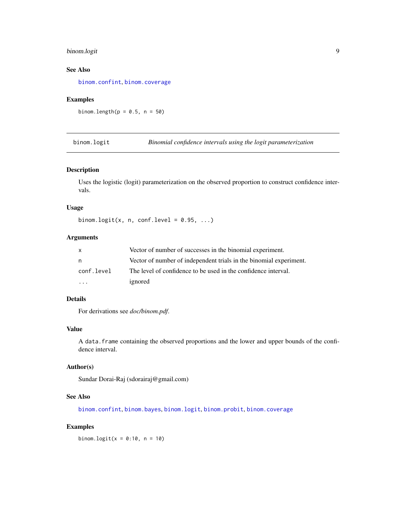# <span id="page-8-0"></span>binom.logit 9

# See Also

[binom.confint](#page-4-1), [binom.coverage](#page-5-1)

# Examples

binom.length( $p = 0.5$ ,  $n = 50$ )

<span id="page-8-1"></span>binom.logit *Binomial confidence intervals using the logit parameterization*

#### Description

Uses the logistic (logit) parameterization on the observed proportion to construct confidence intervals.

# Usage

binom.logit(x, n, conf.level =  $0.95$ , ...)

# Arguments

| X          | Vector of number of successes in the binomial experiment.          |
|------------|--------------------------------------------------------------------|
| n          | Vector of number of independent trials in the binomial experiment. |
| conf.level | The level of confidence to be used in the confidence interval.     |
| $\cdots$   | ignored                                                            |

# Details

For derivations see *doc/binom.pdf*.

#### Value

A data.frame containing the observed proportions and the lower and upper bounds of the confidence interval.

# Author(s)

Sundar Dorai-Raj (sdorairaj@gmail.com)

# See Also

[binom.confint](#page-4-1), [binom.bayes](#page-1-1), [binom.logit](#page-8-1), [binom.probit](#page-14-1), [binom.coverage](#page-5-1)

# Examples

binom.logit( $x = 0:10$ ,  $n = 10$ )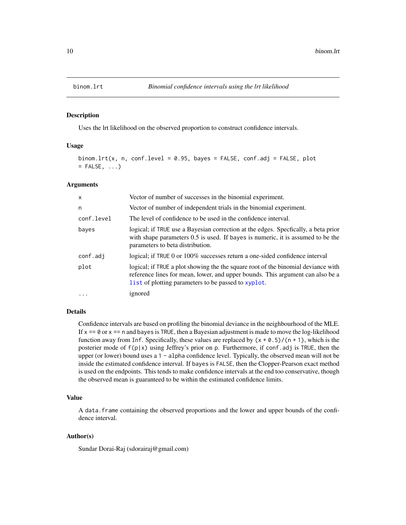<span id="page-9-0"></span>

Uses the lrt likelihood on the observed proportion to construct confidence intervals.

# Usage

```
binom.lrt(x, n, conf.level = 0.95, bayes = FALSE, conf.adj = FALSE, plot
= FALSE, \ldots)
```
#### **Arguments**

| $\mathsf{x}$ | Vector of number of successes in the binomial experiment.                                                                                                                                                                  |
|--------------|----------------------------------------------------------------------------------------------------------------------------------------------------------------------------------------------------------------------------|
| n            | Vector of number of independent trials in the binomial experiment.                                                                                                                                                         |
| conf.level   | The level of confidence to be used in the confidence interval.                                                                                                                                                             |
| bayes        | logical; if TRUE use a Bayesian correction at the edges. Specfically, a beta prior<br>with shape parameters 0.5 is used. If bayes is numeric, it is assumed to be the<br>parameters to beta distribution.                  |
| conf.adj     | logical; if TRUE 0 or 100% successes return a one-sided confidence interval                                                                                                                                                |
| plot         | logical; if TRUE a plot showing the the square root of the binomial deviance with<br>reference lines for mean, lower, and upper bounds. This argument can also be a<br>list of plotting parameters to be passed to xyplot. |
| $\cdots$     | ignored                                                                                                                                                                                                                    |

#### Details

Confidence intervals are based on profiling the binomial deviance in the neighbourhood of the MLE. If  $x == 0$  or  $x == n$  and bayes is TRUE, then a Bayesian adjustment is made to move the log-likelihood function away from Inf. Specifically, these values are replaced by  $(x + 0.5)/(n + 1)$ , which is the posterier mode of  $f(p|x)$  using Jeffrey's prior on p. Furthermore, if conf.adj is TRUE, then the upper (or lower) bound uses a 1 - alpha confidence level. Typically, the observed mean will not be inside the estimated confidence interval. If bayes is FALSE, then the Clopper-Pearson exact method is used on the endpoints. This tends to make confidence intervals at the end too conservative, though the observed mean is guaranteed to be within the estimated confidence limits.

# Value

A data.frame containing the observed proportions and the lower and upper bounds of the confidence interval.

#### Author(s)

Sundar Dorai-Raj (sdorairaj@gmail.com)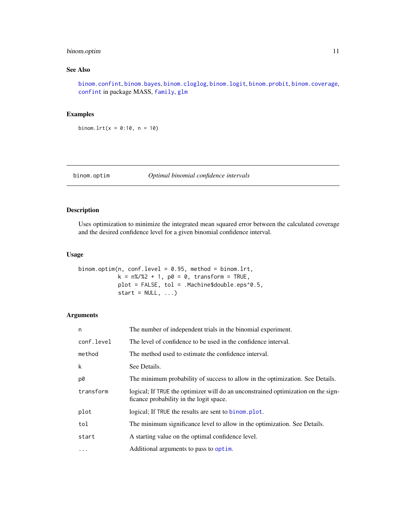# <span id="page-10-0"></span>binom.optim 11

# See Also

[binom.confint](#page-4-1), [binom.bayes](#page-1-1), [binom.cloglog](#page-3-1), [binom.logit](#page-8-1), [binom.probit](#page-14-1), [binom.coverage](#page-5-1), [confint](#page-0-0) in package MASS, [family](#page-0-0), [glm](#page-0-0)

# Examples

binom.lrt( $x = 0:10$ ,  $n = 10$ )

# <span id="page-10-1"></span>binom.optim *Optimal binomial confidence intervals*

#### Description

Uses optimization to minimize the integrated mean squared error between the calculated coverage and the desired confidence level for a given binomial confidence interval.

### Usage

```
binom.optim(n, conf.level = 0.95, method = binom.lrt,
            k = n\%/2 + 1, p0 = 0, transform = TRUE,
            plot = FALSE, tol = .Machine$double.eps^0.5,
            start = NULL, ...)
```
# Arguments

| n          | The number of independent trials in the binomial experiment.                                                                 |
|------------|------------------------------------------------------------------------------------------------------------------------------|
| conf.level | The level of confidence to be used in the confidence interval.                                                               |
| method     | The method used to estimate the confidence interval.                                                                         |
| k          | See Details.                                                                                                                 |
| p0         | The minimum probability of success to allow in the optimization. See Details.                                                |
| transform  | logical; If TRUE the optimizer will do an unconstrained optimization on the sign-<br>ficance probability in the logit space. |
| plot       | logical; If TRUE the results are sent to binom. plot.                                                                        |
| tol        | The minimum significance level to allow in the optimization. See Details.                                                    |
| start      | A starting value on the optimal confidence level.                                                                            |
| $\cdots$   | Additional arguments to pass to optim.                                                                                       |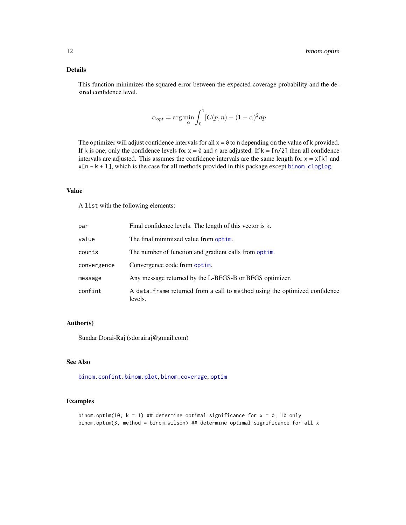# <span id="page-11-0"></span>Details

This function minimizes the squared error between the expected coverage probability and the desired confidence level.

$$
\alpha_{opt} = \arg\min_{\alpha} \int_0^1 [C(p, n) - (1 - \alpha)^2 dp
$$

The optimizer will adjust confidence intervals for all  $x = 0$  to n depending on the value of k provided. If k is one, only the confidence levels for  $x = \emptyset$  and n are adjusted. If  $k = \lfloor n/2 \rfloor$  then all confidence intervals are adjusted. This assumes the confidence intervals are the same length for  $x = x[k]$  and  $x[n - k + 1]$ , which is the case for all methods provided in this package except [binom.cloglog](#page-3-1).

#### Value

A list with the following elements:

| par         | Final confidence levels. The length of this vector is k.                               |
|-------------|----------------------------------------------------------------------------------------|
| value       | The final minimized value from optim.                                                  |
| counts      | The number of function and gradient calls from optim.                                  |
| convergence | Convergence code from optim.                                                           |
| message     | Any message returned by the L-BFGS-B or BFGS optimizer.                                |
| confint     | A data. frame returned from a call to method using the optimized confidence<br>levels. |

#### Author(s)

Sundar Dorai-Raj (sdorairaj@gmail.com)

#### See Also

[binom.confint](#page-4-1), [binom.plot](#page-12-1), [binom.coverage](#page-5-1), [optim](#page-0-0)

# Examples

binom.optim(10,  $k = 1$ ) ## determine optimal significance for  $x = 0$ , 10 only binom.optim(3, method = binom.wilson) ## determine optimal significance for all x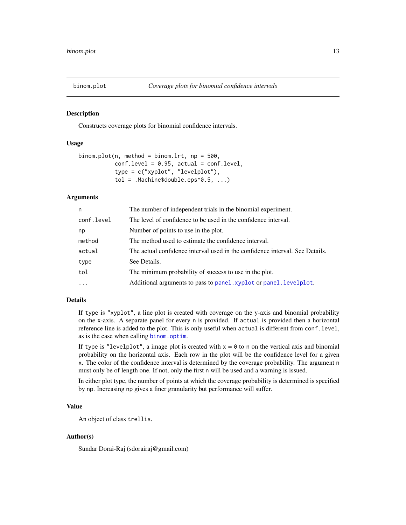<span id="page-12-1"></span><span id="page-12-0"></span>

Constructs coverage plots for binomial confidence intervals.

### Usage

```
binom.plot(n, method = binom.lrt, np = 500,
           conf. level = 0.95, actual = conf. level,
           type = c("xyplot", "levelplot"),
           tol = .Machine$double.eps^0.5, ...)
```
# Arguments

| n          | The number of independent trials in the binomial experiment.                 |
|------------|------------------------------------------------------------------------------|
| conf.level | The level of confidence to be used in the confidence interval.               |
| np         | Number of points to use in the plot.                                         |
| method     | The method used to estimate the confidence interval.                         |
| actual     | The actual confidence interval used in the confidence interval. See Details. |
| type       | See Details.                                                                 |
| tol        | The minimum probability of success to use in the plot.                       |
| $\cdot$    | Additional arguments to pass to panel. xyplot or panel. levelplot.           |
|            |                                                                              |

# Details

If type is "xyplot", a line plot is created with coverage on the y-axis and binomial probability on the x-axis. A separate panel for every n is provided. If actual is provided then a horizontal reference line is added to the plot. This is only useful when actual is different from conf.level, as is the case when calling [binom.optim](#page-10-1).

If type is "levelplot", a image plot is created with  $x = 0$  to n on the vertical axis and binomial probability on the horizontal axis. Each row in the plot will be the confidence level for a given x. The color of the confidence interval is determined by the coverage probability. The argument n must only be of length one. If not, only the first n will be used and a warning is issued.

In either plot type, the number of points at which the coverage probability is determined is specified by np. Increasing np gives a finer granularity but performance will suffer.

# Value

An object of class trellis.

#### Author(s)

Sundar Dorai-Raj (sdorairaj@gmail.com)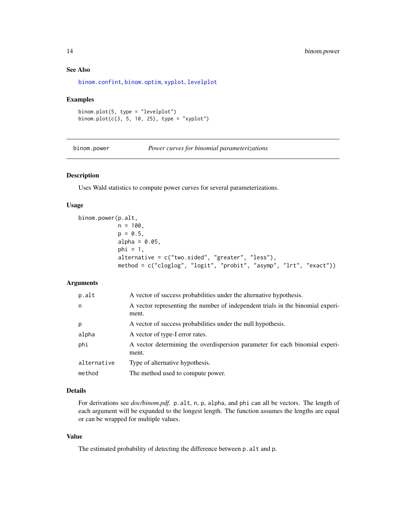# See Also

[binom.confint](#page-4-1), [binom.optim](#page-10-1), [xyplot](#page-0-0), [levelplot](#page-0-0)

#### Examples

```
binom.plot(5, type = "levelplot")
binom.plot(c(3, 5, 10, 25), type = "xyplot")
```
<span id="page-13-1"></span>binom.power *Power curves for binomial parameterizations*

# Description

Uses Wald statistics to compute power curves for several parameterizations.

#### Usage

```
binom.power(p.alt,
            n = 100.
            p = 0.5,
            alpha = 0.05,
            phi = 1,
            alternative = c("two.sided", "greater", "less"),
            method = c("cloglog", "logit", "probit", "asymp", "lrt", "exact"))
```
#### Arguments

| p.alt       | A vector of success probabilities under the alternative hypothesis.                     |
|-------------|-----------------------------------------------------------------------------------------|
| n           | A vector representing the number of independent trials in the binomial experi-<br>ment. |
| p           | A vector of success probabilities under the null hypothesis.                            |
| alpha       | A vector of type-I error rates.                                                         |
| phi         | A vector determining the overdispersion parameter for each binomial experi-<br>ment.    |
| alternative | Type of alternative hypothesis.                                                         |
| method      | The method used to compute power.                                                       |

# Details

For derivations see *doc/binom.pdf*. p.alt, n, p, alpha, and phi can all be vectors. The length of each argument will be expanded to the longest length. The function assumes the lengths are equal or can be wrapped for multiple values.

## Value

The estimated probability of detecting the difference between p.alt and p.

<span id="page-13-0"></span>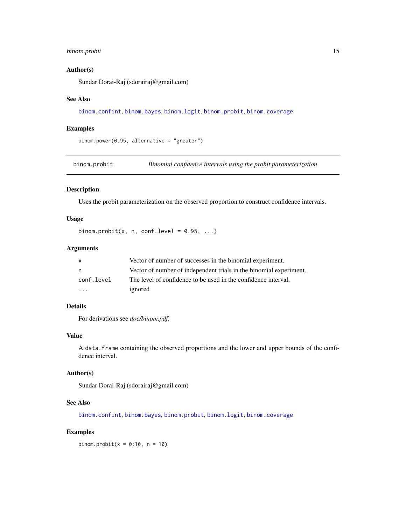# <span id="page-14-0"></span>binom.probit 15

#### Author(s)

Sundar Dorai-Raj (sdorairaj@gmail.com)

#### See Also

[binom.confint](#page-4-1), [binom.bayes](#page-1-1), [binom.logit](#page-8-1), [binom.probit](#page-14-1), [binom.coverage](#page-5-1)

# Examples

```
binom.power(0.95, alternative = "greater")
```
<span id="page-14-1"></span>binom.probit *Binomial confidence intervals using the probit parameterization*

# Description

Uses the probit parameterization on the observed proportion to construct confidence intervals.

## Usage

binom.probit(x, n, conf.level =  $0.95, ...$ )

# Arguments

| X          | Vector of number of successes in the binomial experiment.          |
|------------|--------------------------------------------------------------------|
| n          | Vector of number of independent trials in the binomial experiment. |
| conf.level | The level of confidence to be used in the confidence interval.     |
| .          | ignored                                                            |

# Details

For derivations see *doc/binom.pdf*.

#### Value

A data.frame containing the observed proportions and the lower and upper bounds of the confidence interval.

# Author(s)

Sundar Dorai-Raj (sdorairaj@gmail.com)

#### See Also

[binom.confint](#page-4-1), [binom.bayes](#page-1-1), [binom.probit](#page-14-1), [binom.logit](#page-8-1), [binom.coverage](#page-5-1)

#### Examples

binom.probit( $x = 0:10$ ,  $n = 10$ )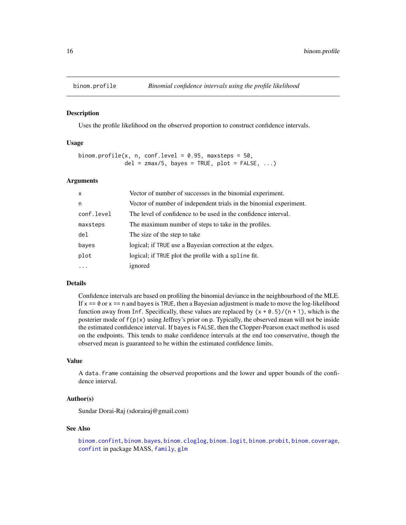<span id="page-15-1"></span><span id="page-15-0"></span>

Uses the profile likelihood on the observed proportion to construct confidence intervals.

#### Usage

```
binom.profile(x, n, conf.level = 0.95, maxsteps = 50,
              del = zmax/5, bayes = TRUE, plot = FALSE, \ldots)
```
#### Arguments

| $\mathsf{x}$ | Vector of number of successes in the binomial experiment.          |
|--------------|--------------------------------------------------------------------|
| n            | Vector of number of independent trials in the binomial experiment. |
| conf.level   | The level of confidence to be used in the confidence interval.     |
| maxsteps     | The maximum number of steps to take in the profiles.               |
| del          | The size of the step to take                                       |
| bayes        | logical; if TRUE use a Bayesian correction at the edges.           |
| plot         | logical; if TRUE plot the profile with a spline fit.               |
| .            | ignored                                                            |

#### Details

Confidence intervals are based on profiling the binomial deviance in the neighbourhood of the MLE. If  $x == 0$  or  $x == n$  and bayes is TRUE, then a Bayesian adjustment is made to move the log-likelihood function away from Inf. Specifically, these values are replaced by  $(x + 0.5)/(n + 1)$ , which is the posterier mode of  $f(p|x)$  using Jeffrey's prior on p. Typically, the observed mean will not be inside the estimated confidence interval. If bayes is FALSE, then the Clopper-Pearson exact method is used on the endpoints. This tends to make confidence intervals at the end too conservative, though the observed mean is guaranteed to be within the estimated confidence limits.

# Value

A data.frame containing the observed proportions and the lower and upper bounds of the confidence interval.

#### Author(s)

Sundar Dorai-Raj (sdorairaj@gmail.com)

#### See Also

[binom.confint](#page-4-1), [binom.bayes](#page-1-1), [binom.cloglog](#page-3-1), [binom.logit](#page-8-1), [binom.probit](#page-14-1), [binom.coverage](#page-5-1), [confint](#page-0-0) in package MASS, [family](#page-0-0), [glm](#page-0-0)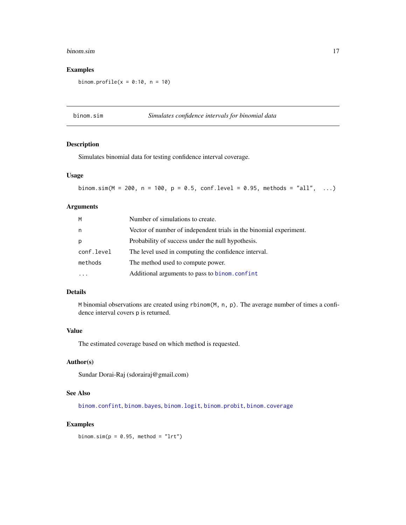#### <span id="page-16-0"></span>binom.sim 17

# Examples

binom.profile( $x = 0:10$ ,  $n = 10$ )

binom.sim *Simulates confidence intervals for binomial data*

# Description

Simulates binomial data for testing confidence interval coverage.

# Usage

binom.sim(M = 200, n = 100, p = 0.5, conf.level = 0.95, methods = "all", ...)

#### Arguments

| M          | Number of simulations to create.                                   |
|------------|--------------------------------------------------------------------|
| n          | Vector of number of independent trials in the binomial experiment. |
| p          | Probability of success under the null hypothesis.                  |
| conf.level | The level used in computing the confidence interval.               |
| methods    | The method used to compute power.                                  |
|            | Additional arguments to pass to binom.confint                      |

# Details

M binomial observations are created using rbinom(M, n, p). The average number of times a confidence interval covers p is returned.

# Value

The estimated coverage based on which method is requested.

#### Author(s)

Sundar Dorai-Raj (sdorairaj@gmail.com)

# See Also

[binom.confint](#page-4-1), [binom.bayes](#page-1-1), [binom.logit](#page-8-1), [binom.probit](#page-14-1), [binom.coverage](#page-5-1)

# Examples

binom.sim $(p = 0.95,$  method = "lrt")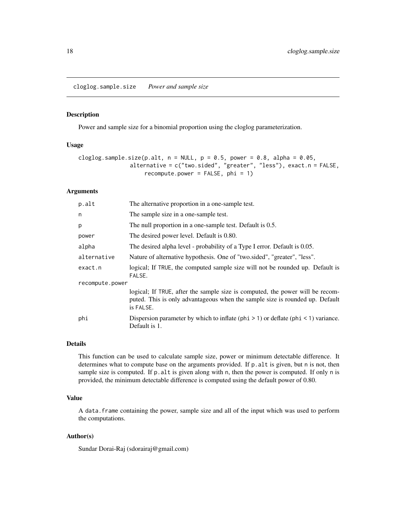<span id="page-17-0"></span>cloglog.sample.size *Power and sample size*

#### Description

Power and sample size for a binomial proportion using the cloglog parameterization.

#### Usage

```
cloglog.sample.size(p.alt, n = NULL, p = 0.5, power = 0.8, alpha = 0.05,
               alternative = c("two.sided", "greater", "less"), exact.n = FALSE,
                    recompute.power = FALSE, phi = 1)
```
# Arguments

| p.alt           | The alternative proportion in a one-sample test.                                                                                                                           |  |
|-----------------|----------------------------------------------------------------------------------------------------------------------------------------------------------------------------|--|
| n               | The sample size in a one-sample test.                                                                                                                                      |  |
| p               | The null proportion in a one-sample test. Default is 0.5.                                                                                                                  |  |
| power           | The desired power level. Default is 0.80.                                                                                                                                  |  |
| alpha           | The desired alpha level - probability of a Type I error. Default is 0.05.                                                                                                  |  |
| alternative     | Nature of alternative hypothesis. One of "two.sided", "greater", "less".                                                                                                   |  |
| exact.n         | logical; If TRUE, the computed sample size will not be rounded up. Default is<br>FALSE.                                                                                    |  |
| recompute.power |                                                                                                                                                                            |  |
|                 | logical; If TRUE, after the sample size is computed, the power will be recom-<br>puted. This is only advantageous when the sample size is rounded up. Default<br>is FALSE. |  |
| phi             | Dispersion parameter by which to inflate ( $phi > 1$ ) or deflate ( $phi < 1$ ) variance.<br>Default is 1.                                                                 |  |

#### Details

This function can be used to calculate sample size, power or minimum detectable difference. It determines what to compute base on the arguments provided. If p.alt is given, but n is not, then sample size is computed. If  $p$  alt is given along with n, then the power is computed. If only n is provided, the minimum detectable difference is computed using the default power of 0.80.

# Value

A data.frame containing the power, sample size and all of the input which was used to perform the computations.

#### Author(s)

Sundar Dorai-Raj (sdorairaj@gmail.com)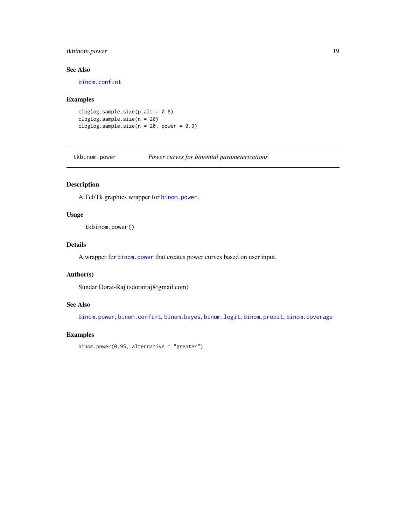# <span id="page-18-0"></span>tkbinom.power 19

# See Also

[binom.confint](#page-4-1)

# Examples

```
cloglog.sample.size(p.alt = 0.8)
cloglog.sample.size(n = 20)
cloglog.sample.size(n = 20, power = 0.9)
```
tkbinom.power *Power curves for binomial parameterizations*

# Description

A Tcl/Tk graphics wrapper for [binom.power](#page-13-1).

# Usage

tkbinom.power()

# Details

A wrapper for [binom.power](#page-13-1) that creates power curves based on user input.

#### Author(s)

Sundar Dorai-Raj (sdorairaj@gmail.com)

#### See Also

[binom.power](#page-13-1), [binom.confint](#page-4-1), [binom.bayes](#page-1-1), [binom.logit](#page-8-1), [binom.probit](#page-14-1), [binom.coverage](#page-5-1)

#### Examples

```
binom.power(0.95, alternative = "greater")
```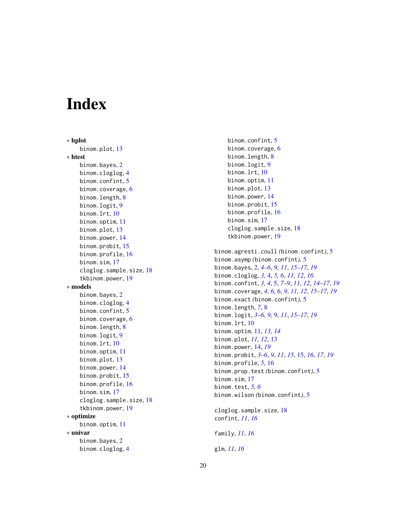# <span id="page-19-0"></span>Index

∗ hplot binom.plot , [13](#page-12-0) ∗ htest binom.bayes, [2](#page-1-0) binom.cloglog , [4](#page-3-0) binom.confint , [5](#page-4-0) binom.coverage, [6](#page-5-0) binom.length, [8](#page-7-0) binom.logit , [9](#page-8-0) binom.lrt, [10](#page-9-0) binom.optim, [11](#page-10-0) binom.plot , [13](#page-12-0) binom.power , [14](#page-13-0) binom.probit , [15](#page-14-0) binom.profile , [16](#page-15-0) binom.sim , [17](#page-16-0) cloglog.sample.size , [18](#page-17-0) tkbinom.power , [19](#page-18-0) ∗ models binom.bayes, [2](#page-1-0) binom.cloglog , [4](#page-3-0) binom.confint , [5](#page-4-0) binom.coverage, [6](#page-5-0) binom.length, [8](#page-7-0) binom.logit , [9](#page-8-0) binom.lrt , [10](#page-9-0) binom.optim, [11](#page-10-0) binom.plot , [13](#page-12-0) binom.power , [14](#page-13-0) binom.probit , [15](#page-14-0) binom.profile , [16](#page-15-0) binom.sim , [17](#page-16-0) cloglog.sample.size , [18](#page-17-0) tkbinom.power , [19](#page-18-0) ∗ optimize binom.optim, [11](#page-10-0) ∗ univar binom.bayes, [2](#page-1-0) binom.cloglog , [4](#page-3-0)

# binom.confint , [5](#page-4-0) binom.coverage,  $6$ binom.length, <mark>[8](#page-7-0)</mark> binom.logit , [9](#page-8-0) binom.lrt, [10](#page-9-0) binom.optim, [11](#page-10-0) binom.plot, [13](#page-12-0) binom.power, [14](#page-13-0) binom.probit, [15](#page-14-0) binom.profile, [16](#page-15-0) binom.sim , [17](#page-16-0) cloglog.sample.size , [18](#page-17-0) tkbinom.power , [19](#page-18-0) binom.agresti.coull *(*binom.confint *)* , [5](#page-4-0) binom.asymp *(*binom.confint *)* , [5](#page-4-0) binom.bayes , [2](#page-1-0) , *[4](#page-3-0) – [6](#page-5-0)* , *[9](#page-8-0)* , *[11](#page-10-0)* , *[15](#page-14-0) [–17](#page-16-0)* , *[19](#page-18-0)* binom.cloglog , *[3](#page-2-0)* , [4](#page-3-0) , *[5](#page-4-0) , [6](#page-5-0)* , *[11](#page-10-0) , [12](#page-11-0)* , *[16](#page-15-0)* binom.confint , *[3](#page-2-0) , [4](#page-3-0)* , [5](#page-4-0) , *[7–](#page-6-0) [9](#page-8-0)* , *[11](#page-10-0) , [12](#page-11-0)* , *[14](#page-13-0) [–17](#page-16-0)* , *[19](#page-18-0)* binom.coverage , *[4](#page-3-0)* , *[6](#page-5-0)* , [6](#page-5-0) , *[9](#page-8-0)* , *[11](#page-10-0) , [12](#page-11-0)* , *[15](#page-14-0) [–17](#page-16-0)* , *[19](#page-18-0)* binom.exact *(*binom.confint *)* , [5](#page-4-0) binom.length , *[7](#page-6-0)* , [8](#page-7-0) binom.logit , *[3](#page-2-0) – [6](#page-5-0)* , *[9](#page-8-0)* , [9](#page-8-0) , *[11](#page-10-0)* , *[15](#page-14-0) [–17](#page-16-0)* , *[19](#page-18-0)* binom.lrt,[10](#page-9-0) binom.optim , [11](#page-10-0) , *[13](#page-12-0) , [14](#page-13-0)* binom.plot , *[11](#page-10-0) , [12](#page-11-0)* , [13](#page-12-0) binom.power , [14](#page-13-0) , *[19](#page-18-0)* binom.probit , *[3](#page-2-0) – [6](#page-5-0)* , *[9](#page-8-0)* , *[11](#page-10-0)* , *[15](#page-14-0)* , [15](#page-14-0) , *[16,](#page-15-0) [17](#page-16-0)* , *[19](#page-18-0)* binom.profile , *[5](#page-4-0)* , [16](#page-15-0) binom.prop.test *(*binom.confint *)* , [5](#page-4-0) binom.sim , [17](#page-16-0) binom.test , *[5](#page-4-0) , [6](#page-5-0)* binom.wilson *(*binom.confint *)* , [5](#page-4-0) cloglog.sample.size , [18](#page-17-0)

confint , *[11](#page-10-0)* , *[16](#page-15-0)*

family , *[11](#page-10-0)* , *[16](#page-15-0)*

glm , *[11](#page-10-0)* , *[16](#page-15-0)*